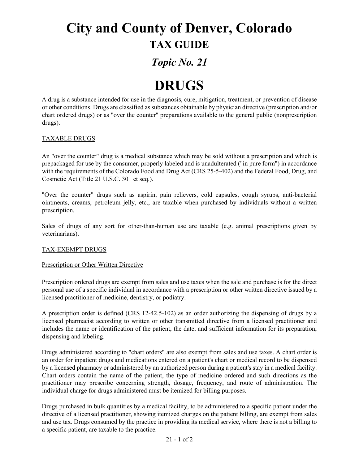## **City and County of Denver, Colorado TAX GUIDE**

### *Topic No. 21*

# **DRUGS**

A drug is a substance intended for use in the diagnosis, cure, mitigation, treatment, or prevention of disease or other conditions. Drugs are classified as substances obtainable by physician directive (prescription and/or chart ordered drugs) or as "over the counter" preparations available to the general public (nonprescription drugs).

#### TAXABLE DRUGS

An "over the counter" drug is a medical substance which may be sold without a prescription and which is prepackaged for use by the consumer, properly labeled and is unadulterated ("in pure form") in accordance with the requirements of the Colorado Food and Drug Act (CRS 25-5-402) and the Federal Food, Drug, and Cosmetic Act (Title 21 U.S.C. 301 et seq.).

"Over the counter" drugs such as aspirin, pain relievers, cold capsules, cough syrups, anti-bacterial ointments, creams, petroleum jelly, etc., are taxable when purchased by individuals without a written prescription.

Sales of drugs of any sort for other-than-human use are taxable (e.g. animal prescriptions given by veterinarians).

#### TAX-EXEMPT DRUGS

#### Prescription or Other Written Directive

Prescription ordered drugs are exempt from sales and use taxes when the sale and purchase is for the direct personal use of a specific individual in accordance with a prescription or other written directive issued by a licensed practitioner of medicine, dentistry, or podiatry.

A prescription order is defined (CRS 12-42.5-102) as an order authorizing the dispensing of drugs by a licensed pharmacist according to written or other transmitted directive from a licensed practitioner and includes the name or identification of the patient, the date, and sufficient information for its preparation, dispensing and labeling.

Drugs administered according to "chart orders" are also exempt from sales and use taxes. A chart order is an order for inpatient drugs and medications entered on a patient's chart or medical record to be dispensed by a licensed pharmacy or administered by an authorized person during a patient's stay in a medical facility. Chart orders contain the name of the patient, the type of medicine ordered and such directions as the practitioner may prescribe concerning strength, dosage, frequency, and route of administration. The individual charge for drugs administered must be itemized for billing purposes.

Drugs purchased in bulk quantities by a medical facility, to be administered to a specific patient under the directive of a licensed practitioner, showing itemized charges on the patient billing, are exempt from sales and use tax. Drugs consumed by the practice in providing its medical service, where there is not a billing to a specific patient, are taxable to the practice.